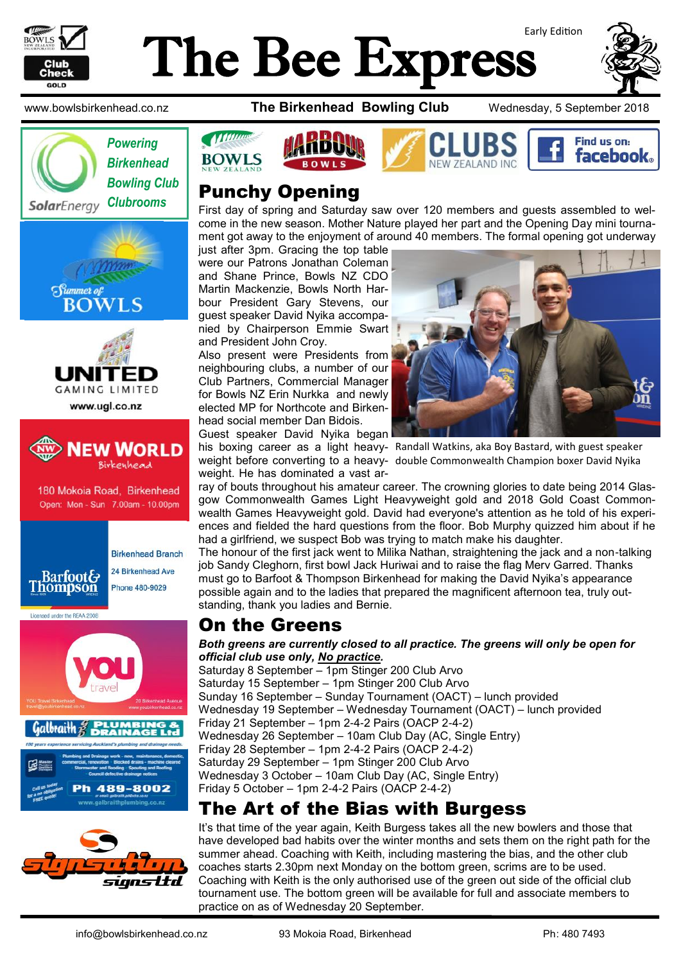

# Early Edition The Bee Express













24 Birkenhead Ave Phone 480-9029

Licensed under the REAA 2008









# **Punchy Opening**<br>*Clubrooms* **Punchy Opening**

First day of spring and Saturday saw over 120 members and guests assembled to welcome in the new season. Mother Nature played her part and the Opening Day mini tournament got away to the enjoyment of around 40 members. The formal opening got underway

just after 3pm. Gracing the top table were our Patrons Jonathan Coleman and Shane Prince, Bowls NZ CDO Martin Mackenzie, Bowls North Harbour President Gary Stevens, our guest speaker David Nyika accompanied by Chairperson Emmie Swart and President John Croy.

Also present were Presidents from neighbouring clubs, a number of our Club Partners, Commercial Manager for Bowls NZ Erin Nurkka and newly elected MP for Northcote and Birkenhead social member Dan Bidois.

Guest speaker David Nyika began weight. He has dominated a vast ar-



his boxing career as a light heavy-Randall Watkins, aka Boy Bastard, with guest speaker weight before converting to a heavy-double Commonwealth Champion boxer David Nyika

ray of bouts throughout his amateur career. The crowning glories to date being 2014 Glasgow Commonwealth Games Light Heavyweight gold and 2018 Gold Coast Commonwealth Games Heavyweight gold. David had everyone's attention as he told of his experiences and fielded the hard questions from the floor. Bob Murphy quizzed him about if he had a girlfriend, we suspect Bob was trying to match make his daughter.

The honour of the first jack went to Milika Nathan, straightening the jack and a non-talking job Sandy Cleghorn, first bowl [Jack Huriwai a](https://www.facebook.com/jack.huriwai)nd to raise the flag Merv Garred. Thanks must go to Barfoot & Thompson Birkenhead for making the David Nyika's appearance possible again and to the ladies that prepared the magnificent afternoon tea, truly outstanding, thank you ladies and Bernie.

# On the Greens

#### *Both greens are currently closed to all practice. The greens will only be open for official club use only, No practice.*

Saturday 8 September – 1pm Stinger 200 Club Arvo Saturday 15 September – 1pm Stinger 200 Club Arvo Sunday 16 September – Sunday Tournament (OACT) – lunch provided Wednesday 19 September – Wednesday Tournament (OACT) – lunch provided Friday 21 September – 1pm 2-4-2 Pairs (OACP 2-4-2) Wednesday 26 September – 10am Club Day (AC, Single Entry) Friday 28 September – 1pm 2-4-2 Pairs (OACP 2-4-2) Saturday 29 September – 1pm Stinger 200 Club Arvo Wednesday 3 October – 10am Club Day (AC, Single Entry) Friday 5 October – 1pm 2-4-2 Pairs (OACP 2-4-2)

# The Art of the Bias with Burgess

It's that time of the year again, Keith Burgess takes all the new bowlers and those that have developed bad habits over the winter months and sets them on the right path for the summer ahead. Coaching with Keith, including mastering the bias, and the other club coaches starts 2.30pm next Monday on the bottom green, scrims are to be used. Coaching with Keith is the only authorised use of the green out side of the official club tournament use. The bottom green will be available for full and associate members to practice on as of Wednesday 20 September.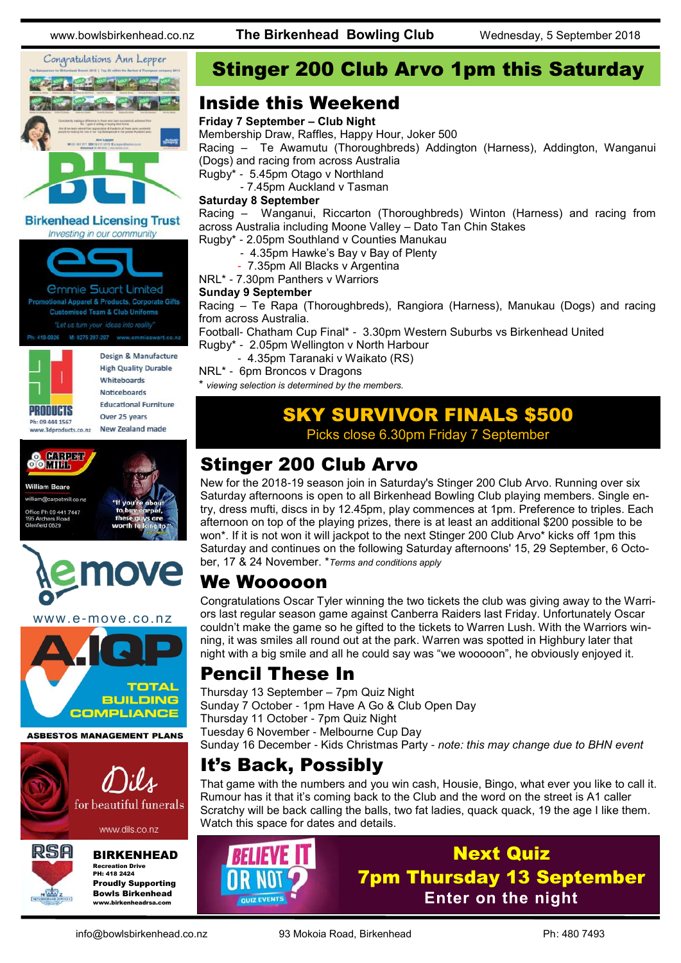

**Birkenhead Licensing Trust** Investing in our community



**Customised Team & Club Uniforms** Ph: 419-0926 M: 0275 297-297 www.emmieswart.co.na



Design & Manufacture **High Quality Durable** Whiteboards **Noticeboards Educational Furniture** Over 25 years New Zealand made

```
Sommer
William Reare
william@carnetmill.co.ns
  ice Ph 09 441 7447
   field 0629
```


www.e-move.co.nz



**ASBESTOS MANAGEMENT PLANS** 



www.dils.co.nz



### BIRKENHEAD

Recreation Drive PH: 418 2424 Proudly Supporting Bowls Birkenhead www.birkenheadrsa.com

# Stinger 200 Club Arvo 1pm this Saturday

### Inside this Weekend

### **Friday 7 September – Club Night**

Membership Draw, Raffles, Happy Hour, Joker 500

Racing – Te Awamutu (Thoroughbreds) Addington (Harness), Addington, Wanganui (Dogs) and racing from across Australia

Rugby\* - 5.45pm Otago v Northland

- 7.45pm Auckland v Tasman

### **Saturday 8 September**

Racing – Wanganui, Riccarton (Thoroughbreds) Winton (Harness) and racing from across Australia including Moone Valley – Dato Tan Chin Stakes

- Rugby\* 2.05pm Southland v Counties Manukau
	- 4.35pm Hawke's Bay v Bay of Plenty
	- 7.35pm All Blacks v Argentina
- NRL\* 7.30pm Panthers v Warriors

### **Sunday 9 September**

Racing – Te Rapa (Thoroughbreds), Rangiora (Harness), Manukau (Dogs) and racing from across Australia.

Football- Chatham Cup Final\* - 3.30pm Western Suburbs vs Birkenhead United Rugby\* - 2.05pm Wellington v North Harbour

- 4.35pm Taranaki v Waikato (RS)
- NRL\* 6pm Broncos v Dragons

\* *viewing selection is determined by the members.*

# SKY SURVIVOR FINALS \$500

Picks close 6.30pm Friday 7 September

# Stinger 200 Club Arvo

New for the 2018-19 season join in Saturday's Stinger 200 Club Arvo. Running over six Saturday afternoons is open to all Birkenhead Bowling Club playing members. Single entry, dress mufti, discs in by 12.45pm, play commences at 1pm. Preference to triples. Each afternoon on top of the playing prizes, there is at least an additional \$200 possible to be won\*. If it is not won it will jackpot to the next Stinger 200 Club Arvo\* kicks off 1pm this Saturday and continues on the following Saturday afternoons' 15, 29 September, 6 October, 17 & 24 November. \**Terms and conditions apply*

## We Wooooon

Congratulations Oscar Tyler winning the two tickets the club was giving away to the Warriors last regular season game against Canberra Raiders last Friday. Unfortunately Oscar couldn't make the game so he gifted to the tickets to Warren Lush. With the Warriors winning, it was smiles all round out at the park. Warren was spotted in Highbury later that night with a big smile and all he could say was "we wooooon", he obviously enjoyed it.

# Pencil These In

Thursday 13 September – 7pm Quiz Night Sunday 7 October - 1pm Have A Go & Club Open Day Thursday 11 October - 7pm Quiz Night Tuesday 6 November - Melbourne Cup Day Sunday 16 December - Kids Christmas Party - *note: this may change due to BHN event*

# It's Back, Possibly

That game with the numbers and you win cash, Housie, Bingo, what ever you like to call it. Rumour has it that it's coming back to the Club and the word on the street is A1 caller Scratchy will be back calling the balls, two fat ladies, quack quack, 19 the age I like them. Watch this space for dates and details.



## Next Quiz 7pm Thursday 13 September **Enter on the night**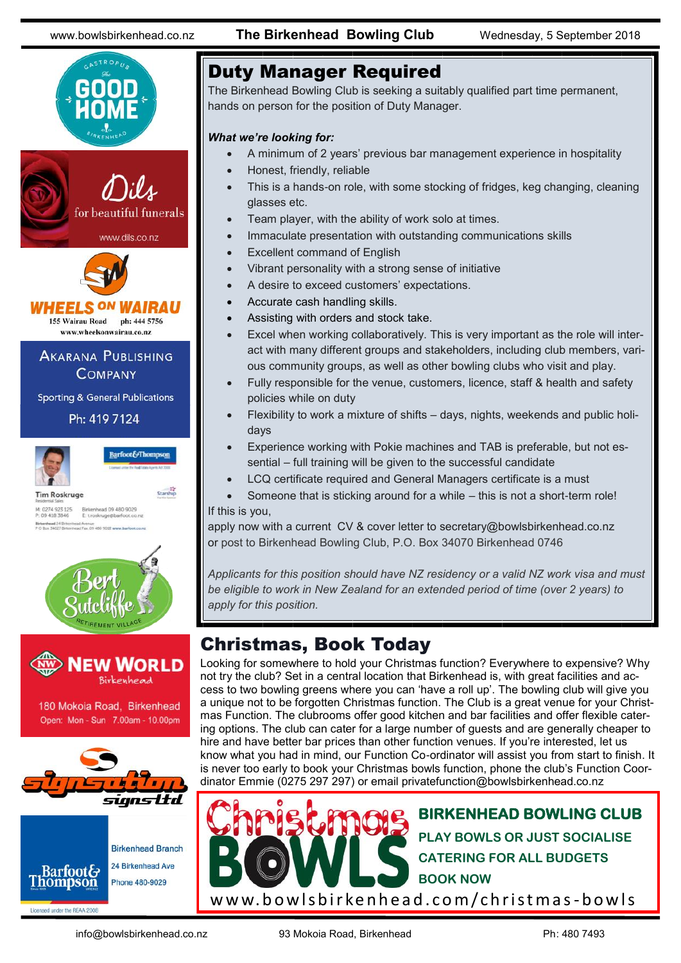CASTROPUZ

www.bowlsbirkenhead.co.nz **The Birkenhead Bowling Club** Wednesday, 5 September 2018



# Duty Manager Required

The Birkenhead Bowling Club is seeking a suitably qualified part time permanent, hands on person for the position of Duty Manager.

### *What we're looking for:*

- A minimum of 2 years' previous bar management experience in hospitality
- Honest, friendly, reliable
- This is a hands-on role, with some stocking of fridges, keg changing, cleaning glasses etc.
- Team player, with the ability of work solo at times.
- Immaculate presentation with outstanding communications skills
- Excellent command of English
- Vibrant personality with a strong sense of initiative
- A desire to exceed customers' expectations.
- Accurate cash handling skills.
- Assisting with orders and stock take.
- Excel when working collaboratively. This is very important as the role will interact with many different groups and stakeholders, including club members, various community groups, as well as other bowling clubs who visit and play.
- Fully responsible for the venue, customers, licence, staff & health and safety policies while on duty
- Flexibility to work a mixture of shifts days, nights, weekends and public holidays
- Experience working with Pokie machines and TAB is preferable, but not essential – full training will be given to the successful candidate
- LCQ certificate required and General Managers certificate is a must
- Someone that is sticking around for a while this is not a short-term role! If this is you,

apply now with a current CV & cover letter to secretary@bowlsbirkenhead.co.nz or post to Birkenhead Bowling Club, P.O. Box 34070 Birkenhead 0746

*Applicants for this position should have NZ residency or a valid NZ work visa and must be eligible to work in New Zealand for an extended period of time (over 2 years) to apply for this position.*

# Christmas, Book Today

Looking for somewhere to hold your Christmas function? Everywhere to expensive? Why not try the club? Set in a central location that Birkenhead is, with great facilities and access to two bowling greens where you can 'have a roll up'. The bowling club will give you a unique not to be forgotten Christmas function. The Club is a great venue for your Christmas Function. The clubrooms offer good kitchen and bar facilities and offer flexible catering options. The club can cater for a large number of guests and are generally cheaper to hire and have better bar prices than other function venues. If you're interested, let us know what you had in mind, our Function Co-ordinator will assist you from start to finish. It is never too early to book your Christmas bowls function, phone the club's Function Coordinator Emmie (0275 297 297) or email [privatefunction@bowlsbirkenhead.co.nz](mailto:privatefunction@bowlsbirkenhead.co.nz)



info@bowlsbirkenhead.co.nz 93 Mokoia Road, Birkenhead Ph: 480 7493